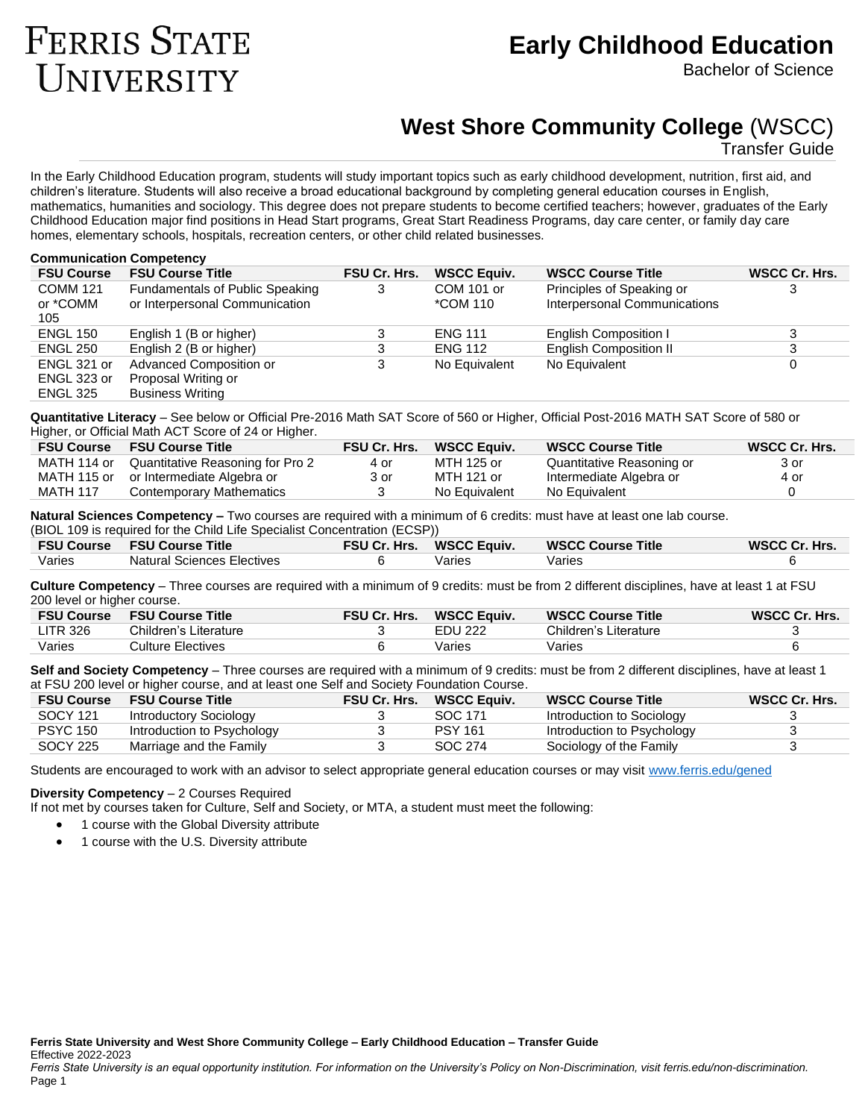# **FERRIS STATE** UNIVERSITY

# **Early Childhood Education**

Bachelor of Science

# **West Shore Community College** (WSCC)

Transfer Guide

In the Early Childhood Education program, students will study important topics such as early childhood development, nutrition, first aid, and children's literature. Students will also receive a broad educational background by completing general education courses in English, mathematics, humanities and sociology. This degree does not prepare students to become certified teachers; however, graduates of the Early Childhood Education major find positions in Head Start programs, Great Start Readiness Programs, day care center, or family day care homes, elementary schools, hospitals, recreation centers, or other child related businesses.

#### **Communication Competency**

| <b>FSU Course</b> | <b>FSU Course Title</b>         | <b>FSU Cr. Hrs.</b> | <b>WSCC Equiv.</b> | <b>WSCC Course Title</b>      | WSCC Cr. Hrs. |
|-------------------|---------------------------------|---------------------|--------------------|-------------------------------|---------------|
| <b>COMM 121</b>   | Fundamentals of Public Speaking | 3                   | COM 101 or         | Principles of Speaking or     |               |
| or *COMM          | or Interpersonal Communication  |                     | *COM 110           | Interpersonal Communications  |               |
| 105               |                                 |                     |                    |                               |               |
| <b>ENGL 150</b>   | English 1 (B or higher)         | 3                   | <b>ENG 111</b>     | English Composition I         |               |
| <b>ENGL 250</b>   | English 2 (B or higher)         | 3                   | <b>ENG 112</b>     | <b>English Composition II</b> |               |
| ENGL 321 or       | Advanced Composition or         | 3                   | No Equivalent      | No Equivalent                 |               |
| ENGL 323 or       | Proposal Writing or             |                     |                    |                               |               |
| <b>ENGL 325</b>   | <b>Business Writing</b>         |                     |                    |                               |               |

**Quantitative Literacy** – See below or Official Pre-2016 Math SAT Score of 560 or Higher, Official Post-2016 MATH SAT Score of 580 or Higher, or Official Math ACT Score of 24 or Higher.

| <b>FSU Course</b> | <b>FSU Course Title</b>                | <b>FSU Cr. Hrs.</b> | <b>WSCC Equiv.</b> | <b>WSCC Course Title</b>  | WSCC Cr. Hrs. |
|-------------------|----------------------------------------|---------------------|--------------------|---------------------------|---------------|
| MATH 114 or       | Quantitative Reasoning for Pro 2       | 4 or                | MTH 125 or         | Quantitative Reasoning or | 3 or          |
|                   | MATH 115 or or Intermediate Algebra or | 3 or                | MTH 121 or         | Intermediate Algebra or   | 4 or          |
| <b>MATH 117</b>   | Contemporary Mathematics               |                     | No Equivalent      | No Equivalent             |               |

**Natural Sciences Competency –** Two courses are required with a minimum of 6 credits: must have at least one lab course. (BIOL 109 is required for the Child Life Specialist Concentration (ECSP))

| (BIOL TO9 IS required for the Child Life Specialist Concentration (ECSP)) |                            |  |                          |                          |               |  |  |
|---------------------------------------------------------------------------|----------------------------|--|--------------------------|--------------------------|---------------|--|--|
| <b>FSU Course</b>                                                         | <b>FSU Course Title</b>    |  | FSU Cr. Hrs. WSCC Equiv. | <b>WSCC Course Title</b> | WSCC Cr. Hrs. |  |  |
| Varies                                                                    | Natural Sciences Electives |  | Varies                   | Varies                   |               |  |  |

**Culture Competency** – Three courses are required with a minimum of 9 credits: must be from 2 different disciplines, have at least 1 at FSU 200 level or higher course.

| <b>FSU Course</b> | <b>FSU Course Title</b> | <b>FSU Cr. Hrs.</b> | <b>WSCC Equiv.</b> | <b>WSCC Course Title</b> | <b>WSCC Cr. Hrs.</b> |
|-------------------|-------------------------|---------------------|--------------------|--------------------------|----------------------|
| LTR326            | Children's Literature   |                     | <b>EDU 222</b>     | Children's Literature    |                      |
| Varies            | Culture Electives.      |                     | Varies             | Varies                   |                      |

**Self and Society Competency** – Three courses are required with a minimum of 9 credits: must be from 2 different disciplines, have at least 1 at FSU 200 level or higher course, and at least one Self and Society Foundation Course.

| <b>FSU Course</b> | <b>FSU Course Title</b>    | <b>FSU Cr. Hrs.</b> | WSCC Equiv.    | <b>WSCC Course Title</b>   | WSCC Cr. Hrs. |
|-------------------|----------------------------|---------------------|----------------|----------------------------|---------------|
| SOCY 121          | Introductory Sociology     |                     | SOC 171        | Introduction to Sociology  |               |
| <b>PSYC 150</b>   | Introduction to Psychology |                     | <b>PSY 161</b> | Introduction to Psychology |               |
| <b>SOCY 225</b>   | Marriage and the Family    |                     | SOC 274        | Sociology of the Family    |               |

Students are encouraged to work with an advisor to select appropriate general education courses or may visit [www.ferris.edu/gened](http://www.ferris.edu/gened)

# **Diversity Competency** – 2 Courses Required

If not met by courses taken for Culture, Self and Society, or MTA, a student must meet the following:

- 1 course with the Global Diversity attribute
- 1 course with the U.S. Diversity attribute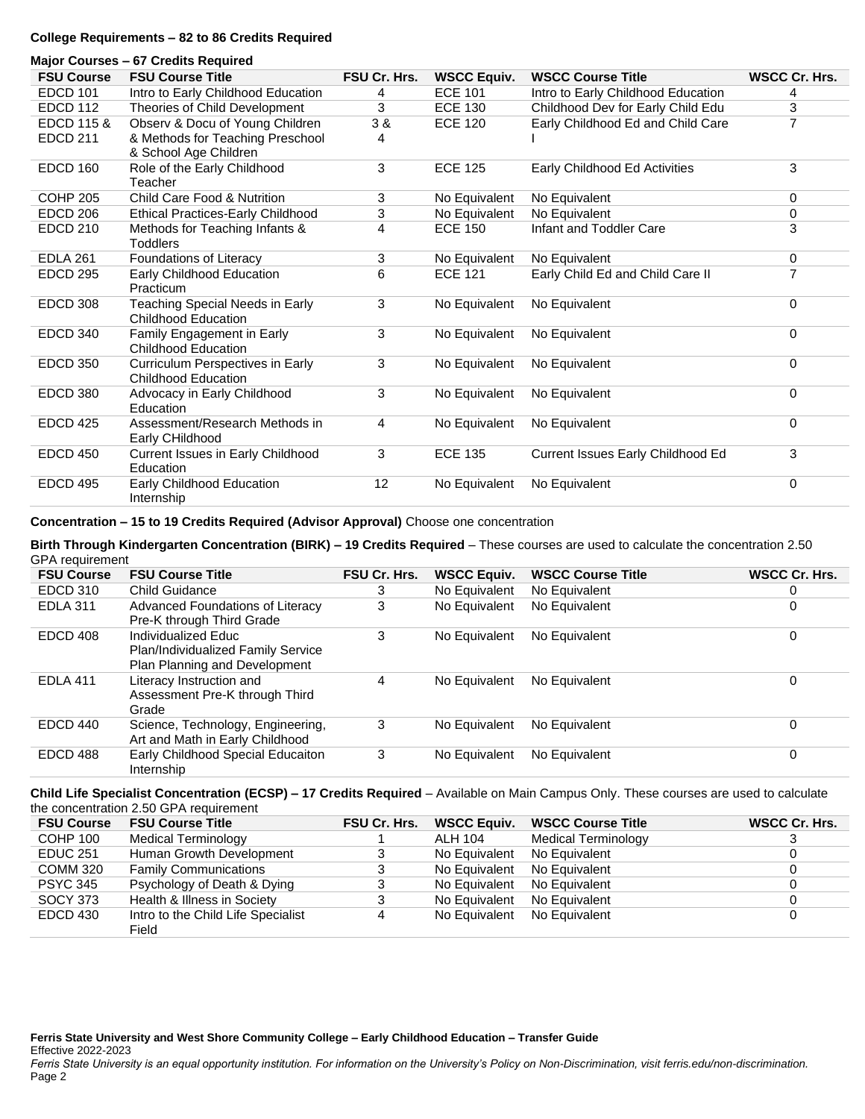# **College Requirements – 82 to 86 Credits Required**

#### **Major Courses – 67 Credits Required**

| <b>FSU Course</b>     | <b>FSU Course Title</b>                                       | <b>FSU Cr. Hrs.</b> | <b>WSCC Equiv.</b> | <b>WSCC Course Title</b>           | <b>WSCC Cr. Hrs.</b> |
|-----------------------|---------------------------------------------------------------|---------------------|--------------------|------------------------------------|----------------------|
| <b>EDCD 101</b>       | Intro to Early Childhood Education                            | 4                   | <b>ECE 101</b>     | Intro to Early Childhood Education | 4                    |
| <b>EDCD 112</b>       | Theories of Child Development                                 | 3                   | <b>ECE 130</b>     | Childhood Dev for Early Child Edu  | 3                    |
| <b>EDCD 115 &amp;</b> | Observ & Docu of Young Children                               | ვ &                 | <b>ECE 120</b>     | Early Childhood Ed and Child Care  | 7                    |
| <b>EDCD 211</b>       | & Methods for Teaching Preschool<br>& School Age Children     | 4                   |                    |                                    |                      |
| <b>EDCD 160</b>       | Role of the Early Childhood<br>Teacher                        | 3                   | <b>ECE 125</b>     | Early Childhood Ed Activities      | 3                    |
| COHP 205              | <b>Child Care Food &amp; Nutrition</b>                        | 3                   | No Equivalent      | No Equivalent                      | $\Omega$             |
| EDCD 206              | <b>Ethical Practices-Early Childhood</b>                      | 3                   | No Equivalent      | No Equivalent                      | 0                    |
| <b>EDCD 210</b>       | Methods for Teaching Infants &<br><b>Toddlers</b>             | 4                   | <b>ECE 150</b>     | Infant and Toddler Care            | 3                    |
| <b>EDLA 261</b>       | Foundations of Literacy                                       | 3                   | No Equivalent      | No Equivalent                      | 0                    |
| <b>EDCD 295</b>       | Early Childhood Education<br>Practicum                        | 6                   | <b>ECE 121</b>     | Early Child Ed and Child Care II   | 7                    |
| <b>EDCD 308</b>       | Teaching Special Needs in Early<br><b>Childhood Education</b> | 3                   | No Equivalent      | No Equivalent                      | $\Omega$             |
| EDCD 340              | Family Engagement in Early<br><b>Childhood Education</b>      | 3                   | No Equivalent      | No Equivalent                      | 0                    |
| <b>EDCD 350</b>       | Curriculum Perspectives in Early<br>Childhood Education       | 3                   | No Equivalent      | No Equivalent                      | 0                    |
| <b>EDCD 380</b>       | Advocacy in Early Childhood<br>Education                      | 3                   | No Equivalent      | No Equivalent                      | 0                    |
| <b>EDCD 425</b>       | Assessment/Research Methods in<br>Early CHildhood             | 4                   | No Equivalent      | No Equivalent                      | $\Omega$             |
| <b>EDCD 450</b>       | Current Issues in Early Childhood<br>Education                | 3                   | <b>ECE 135</b>     | Current Issues Early Childhood Ed  | 3                    |
| <b>EDCD 495</b>       | Early Childhood Education<br>Internship                       | 12                  | No Equivalent      | No Equivalent                      | 0                    |

**Concentration – 15 to 19 Credits Required (Advisor Approval)** Choose one concentration

#### **Birth Through Kindergarten Concentration (BIRK) – 19 Credits Required** – These courses are used to calculate the concentration 2.50 GPA requirement

| <b>FSU Course</b> | <b>FSU Course Title</b>                                                                    | <b>FSU Cr. Hrs.</b> | <b>WSCC Equiv.</b> | <b>WSCC Course Title</b> | <b>WSCC Cr. Hrs.</b> |
|-------------------|--------------------------------------------------------------------------------------------|---------------------|--------------------|--------------------------|----------------------|
| EDCD 310          | <b>Child Guidance</b>                                                                      | 3                   | No Equivalent      | No Equivalent            | 0                    |
| <b>EDLA 311</b>   | Advanced Foundations of Literacy<br>Pre-K through Third Grade                              | 3                   | No Equivalent      | No Equivalent            | 0                    |
| EDCD 408          | Individualized Educ<br>Plan/Individualized Family Service<br>Plan Planning and Development | 3                   | No Equivalent      | No Equivalent            | 0                    |
| <b>EDLA 411</b>   | Literacy Instruction and<br>Assessment Pre-K through Third<br>Grade                        | 4                   | No Equivalent      | No Equivalent            | 0                    |
| EDCD 440          | Science, Technology, Engineering,<br>Art and Math in Early Childhood                       | 3                   | No Equivalent      | No Equivalent            | 0                    |
| EDCD 488          | Early Childhood Special Educaiton<br>Internship                                            | 3                   | No Equivalent      | No Equivalent            | 0                    |

#### **Child Life Specialist Concentration (ECSP) – 17 Credits Required** – Available on Main Campus Only. These courses are used to calculate the concentration 2.50 GPA requirement

| <b>FSU Course</b> | <b>FSU Course Title</b>            | <b>FSU Cr. Hrs.</b> | <b>WSCC Equiv.</b> | <b>WSCC Course Title</b> | WSCC Cr. Hrs. |
|-------------------|------------------------------------|---------------------|--------------------|--------------------------|---------------|
| COHP 100          | <b>Medical Terminology</b>         |                     | ALH 104            | Medical Terminology      |               |
| <b>EDUC 251</b>   | Human Growth Development           |                     | No Equivalent      | No Equivalent            |               |
| COMM 320          | <b>Family Communications</b>       |                     | No Equivalent      | No Equivalent            |               |
| <b>PSYC 345</b>   | Psychology of Death & Dying        |                     | No Equivalent      | No Equivalent            |               |
| <b>SOCY 373</b>   | Health & Illness in Society        |                     | No Equivalent      | No Equivalent            |               |
| EDCD 430          | Intro to the Child Life Specialist |                     | No Equivalent      | No Equivalent            |               |
|                   | Field                              |                     |                    |                          |               |

**Ferris State University and West Shore Community College – Early Childhood Education – Transfer Guide** Effective 2022-2023 *Ferris State University is an equal opportunity institution. For information on the University's Policy on Non-Discrimination, visit ferris.edu/non-discrimination.* Page 2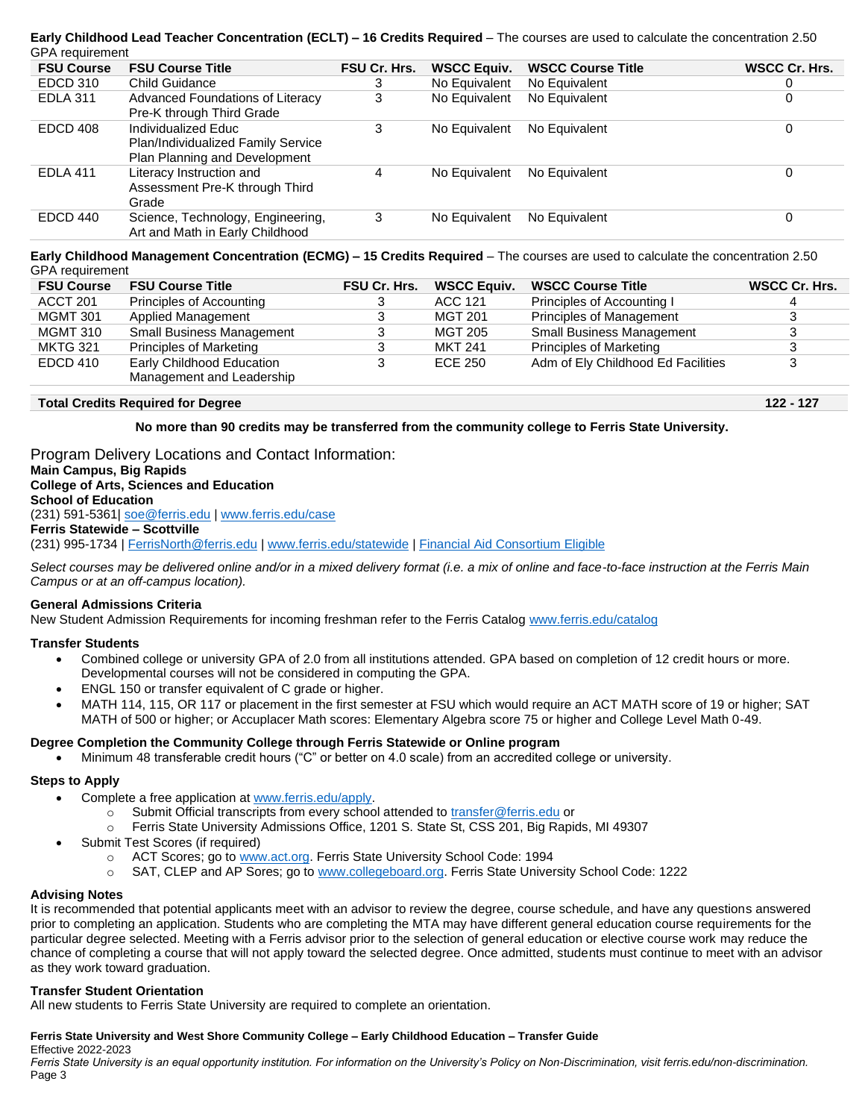# **Early Childhood Lead Teacher Concentration (ECLT) – 16 Credits Required** – The courses are used to calculate the concentration 2.50 GPA requirement

| <b>FSU Course</b> | <b>FSU Course Title</b>                                                                    | <b>FSU Cr. Hrs.</b> | <b>WSCC Equiv.</b> | <b>WSCC Course Title</b> | WSCC Cr. Hrs. |
|-------------------|--------------------------------------------------------------------------------------------|---------------------|--------------------|--------------------------|---------------|
| EDCD 310          | Child Guidance                                                                             | З                   | No Equivalent      | No Equivalent            | 0             |
| <b>EDLA 311</b>   | Advanced Foundations of Literacy<br>Pre-K through Third Grade                              | 3                   | No Equivalent      | No Equivalent            | 0             |
| EDCD 408          | Individualized Educ<br>Plan/Individualized Family Service<br>Plan Planning and Development | 3                   | No Equivalent      | No Equivalent            | 0             |
| <b>EDLA 411</b>   | Literacy Instruction and<br>Assessment Pre-K through Third<br>Grade                        | 4                   | No Equivalent      | No Equivalent            | 0             |
| EDCD 440          | Science, Technology, Engineering,<br>Art and Math in Early Childhood                       | 3                   | No Equivalent      | No Equivalent            | 0             |

**Early Childhood Management Concentration (ECMG) – 15 Credits Required** – The courses are used to calculate the concentration 2.50 GPA requirement

| <b>FSU Course</b> | <b>FSU Course Title</b>                                | <b>FSU Cr. Hrs.</b> | <b>WSCC Equiv.</b> | <b>WSCC Course Title</b>           | WSCC Cr. Hrs. |
|-------------------|--------------------------------------------------------|---------------------|--------------------|------------------------------------|---------------|
| ACCT 201          | Principles of Accounting                               | 3                   | ACC 121            | Principles of Accounting I         |               |
| <b>MGMT 301</b>   | Applied Management                                     | 3                   | MGT 201            | <b>Principles of Management</b>    | 3             |
| <b>MGMT 310</b>   | <b>Small Business Management</b>                       | 3                   | MGT 205            | <b>Small Business Management</b>   | 3             |
| <b>MKTG 321</b>   | <b>Principles of Marketing</b>                         | 3                   | <b>MKT 241</b>     | Principles of Marketing            | 3             |
| EDCD 410          | Early Childhood Education<br>Management and Leadership |                     | ECE 250            | Adm of Ely Childhood Ed Facilities | 3             |

# **Total Credits Required for Degree 122 - 127**

# **No more than 90 credits may be transferred from the community college to Ferris State University.**

Program Delivery Locations and Contact Information: **Main Campus, Big Rapids College of Arts, Sciences and Education School of Education** (231) 591-5361| [soe@ferris.edu](mailto:soe@ferris.edu) [| www.ferris.edu/case](http://www.ferris.edu/case) **Ferris Statewide – Scottville** (231) 995-1734 [| FerrisNorth@ferris.edu](mailto:FerrisNorth@ferris.edu) [| www.ferris.edu/statewide](http://www.ferris.edu/statewide) | [Financial Aid Consortium Eligible](https://www.ferris.edu/admissions/financialaid/consortiumarrangements.htm)

*Select courses may be delivered online and/or in a mixed delivery format (i.e. a mix of online and face-to-face instruction at the Ferris Main Campus or at an off-campus location).*

# **General Admissions Criteria**

New Student Admission Requirements for incoming freshman refer to the Ferris Catalog [www.ferris.edu/catalog](http://www.ferris.edu/catalog)

# **Transfer Students**

- Combined college or university GPA of 2.0 from all institutions attended. GPA based on completion of 12 credit hours or more. Developmental courses will not be considered in computing the GPA.
- ENGL 150 or transfer equivalent of C grade or higher.
- MATH 114, 115, OR 117 or placement in the first semester at FSU which would require an ACT MATH score of 19 or higher; SAT MATH of 500 or higher; or Accuplacer Math scores: Elementary Algebra score 75 or higher and College Level Math 0-49.

# **Degree Completion the Community College through Ferris Statewide or Online program**

• Minimum 48 transferable credit hours ("C" or better on 4.0 scale) from an accredited college or university.

# **Steps to Apply**

- Complete a free application a[t www.ferris.edu/apply.](http://www.ferris.edu/apply)
	- o Submit Official transcripts from every school attended to [transfer@ferris.edu](mailto:transfer@ferris.edu) or
	- o Ferris State University Admissions Office, 1201 S. State St, CSS 201, Big Rapids, MI 49307
- Submit Test Scores (if required)
	- o ACT Scores; go t[o www.act.org.](http://www.act.org/) Ferris State University School Code: 1994
	- o SAT, CLEP and AP Sores; go to [www.collegeboard.org.](http://www.collegeboard.org/) Ferris State University School Code: 1222

# **Advising Notes**

It is recommended that potential applicants meet with an advisor to review the degree, course schedule, and have any questions answered prior to completing an application. Students who are completing the MTA may have different general education course requirements for the particular degree selected. Meeting with a Ferris advisor prior to the selection of general education or elective course work may reduce the chance of completing a course that will not apply toward the selected degree. Once admitted, students must continue to meet with an advisor as they work toward graduation.

# **Transfer Student Orientation**

All new students to Ferris State University are required to complete an orientation.

# **Ferris State University and West Shore Community College – Early Childhood Education – Transfer Guide**

Effective 2022-2023

*Ferris State University is an equal opportunity institution. For information on the University's Policy on Non-Discrimination, visit ferris.edu/non-discrimination.* Page 3